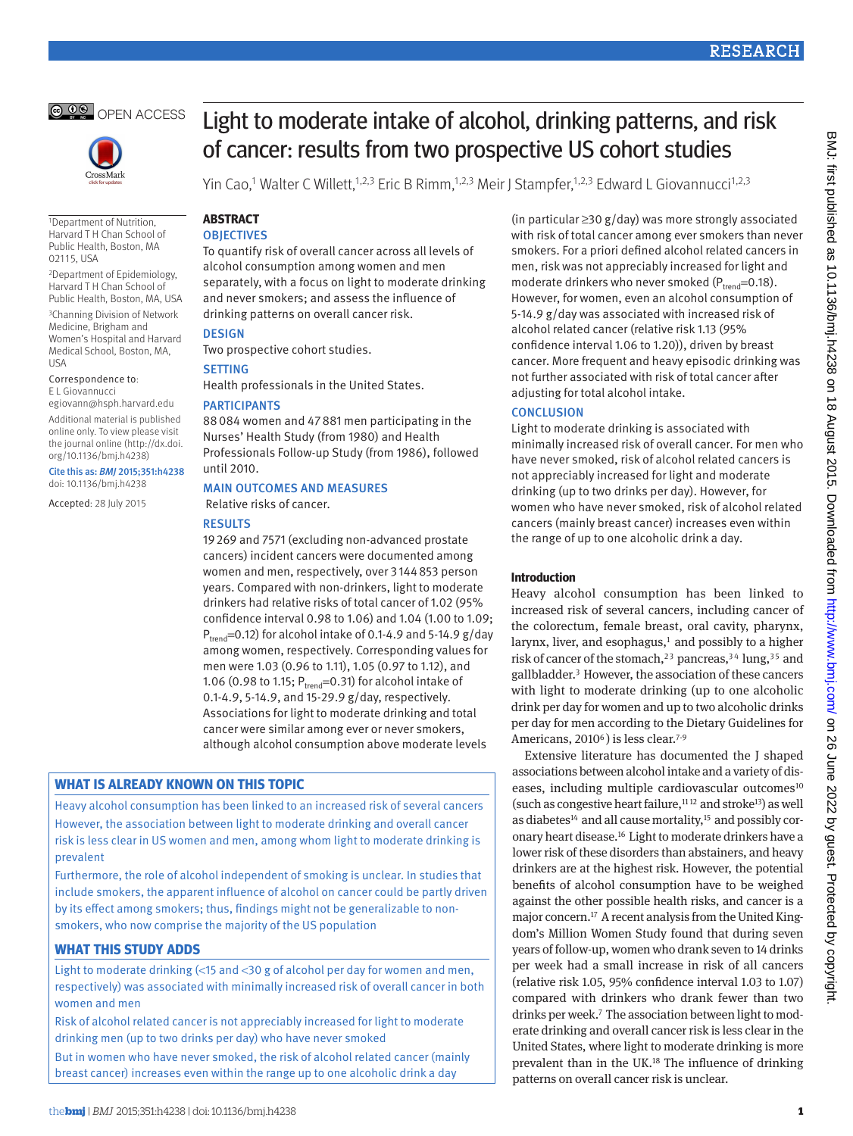



1Department of Nutrition, Harvard T H Chan School of Public Health, Boston, MA 02115, USA

2Department of Epidemiology, Harvard T H Chan School of Public Health, Boston, MA, USA

3Channing Division of Network Medicine, Brigham and Women's Hospital and Harvard Medical School, Boston, MA, USA

Correspondence to: E L Giovannucci

egiovann@hsph.harvard.edu

Additional material is published online only. To view please visit the journal online (http://dx.doi. org/10.1136/bmj.h4238)

## Cite this as: *BMJ* 2015;351:h4238

doi: 10.1136/bmj.h4238

Accepted: 28 July 2015

# Light to moderate intake of alcohol, drinking patterns, and risk of cancer: results from two prospective US cohort studies

Yin Cao,1 Walter C Willett,<sup>1,2,3</sup> Eric B Rimm,<sup>1,2,3</sup> Meir J Stampfer,<sup>1,2,3</sup> Edward L Giovannucci<sup>1,2,3</sup>

#### **ABSTRACT OBJECTIVES**

To quantify risk of overall cancer across all levels of alcohol consumption among women and men separately, with a focus on light to moderate drinking and never smokers; and assess the influence of drinking patterns on overall cancer risk.

## **DESIGN**

Two prospective cohort studies.

## **SETTING**

Health professionals in the United States.

## **PARTICIPANTS**

88084 women and 47881 men participating in the Nurses' Health Study (from 1980) and Health Professionals Follow-up Study (from 1986), followed until 2010.

## Main outcomes and measures

Relative risks of cancer.

## **RESULTS**

19269 and 7571 (excluding non-advanced prostate cancers) incident cancers were documented among women and men, respectively, over 3144853 person years. Compared with non-drinkers, light to moderate drinkers had relative risks of total cancer of 1.02 (95% confidence interval 0.98 to 1.06) and 1.04 (1.00 to 1.09;  $P_{trend}$ =0.12) for alcohol intake of 0.1-4.9 and 5-14.9 g/day among women, respectively. Corresponding values for men were 1.03 (0.96 to 1.11), 1.05 (0.97 to 1.12), and 1.06 (0.98 to 1.15;  $P_{trend} = 0.31$ ) for alcohol intake of 0.1-4.9, 5-14.9, and 15-29.9 g/day, respectively. Associations for light to moderate drinking and total cancer were similar among ever or never smokers, although alcohol consumption above moderate levels

## **What is already known on this topic**

Heavy alcohol consumption has been linked to an increased risk of several cancers However, the association between light to moderate drinking and overall cancer risk is less clear in US women and men, among whom light to moderate drinking is prevalent

Furthermore, the role of alcohol independent of smoking is unclear. In studies that include smokers, the apparent influence of alcohol on cancer could be partly driven by its effect among smokers; thus, findings might not be generalizable to nonsmokers, who now comprise the majority of the US population

## **What this st udy adds**

Light to moderate drinking  $\leq 15$  and  $\leq 30$  g of alcohol per day for women and men, respectively) was associated with minimally increased risk of overall cancer in both women and men

Risk of alcohol related cancer is not appreciably increased for light to moderate drinking men (up to two drinks per day) who have never smoked

But in women who have never smoked, the risk of alcohol related cancer (mainly breast cancer) increases even within the range up to one alcoholic drink a day

(in particular ≥30 g/day) was more strongly associated with risk of total cancer among ever smokers than never smokers. For a priori defined alcohol related cancers in men, risk was not appreciably increased for light and moderate drinkers who never smoked ( $P_{trend}=0.18$ ). However, for women, even an alcohol consumption of 5-14.9 g/day was associated with increased risk of alcohol related cancer (relative risk 1.13 (95% confidence interval 1.06 to 1.20)), driven by breast cancer. More frequent and heavy episodic drinking was not further associated with risk of total cancer after adjusting for total alcohol intake.

## **CONCLUSION**

Light to moderate drinking is associated with minimally increased risk of overall cancer. For men who have never smoked, risk of alcohol related cancers is not appreciably increased for light and moderate drinking (up to two drinks per day). However, for women who have never smoked, risk of alcohol related cancers (mainly breast cancer) increases even within the range of up to one alcoholic drink a day.

## **Introduction**

Heavy alcohol consumption has been linked to increased risk of several cancers, including cancer of the colorectum, female breast, oral cavity, pharynx, larynx, liver, and esophagus, $1$  and possibly to a higher risk of cancer of the stomach,<sup>2[3](#page-7-2)</sup> pancreas,<sup>3[4](#page-7-3)</sup> lung,<sup>3[5](#page-7-4)</sup> and gallbladder. [3](#page-7-2) However, the association of these cancers with light to moderate drinking (up to one alcoholic drink per day for women and up to two alcoholic drinks per day for men according to the Dietary Guidelines for Americans, 2010<sup>6</sup>) is less clear.<sup>7-[9](#page-7-7)</sup>

Extensive literature has documented the J shaped associations between alcohol intake and a variety of dis-eases, including multiple cardiovascular outcomes<sup>[10](#page-7-8)</sup> (such as congestive heart failure[,11](#page-7-9) [12](#page-7-10) and strok[e13](#page-7-11)) as well as diabetes $14$  and all cause mortality, $15$  and possibly coronary heart disease.[16](#page-7-14) Light to moderate drinkers have a lower risk of these disorders than abstainers, and heavy drinkers are at the highest risk. However, the potential benefits of alcohol consumption have to be weighed against the other possible health risks, and cancer is a major concern.[17](#page-7-15) A recent analysis from the United Kingdom's Million Women Study found that during seven years of follow-up, women who drank seven to 14 drinks per week had a small increase in risk of all cancers (relative risk 1.05, 95% confidence interval 1.03 to 1.07) compared with drinkers who drank fewer than two drinks per week.<sup>7</sup> The association between light to moderate drinking and overall cancer risk is less clear in the United States, where light to moderate drinking is more prevalent than in the UK.[18](#page-7-16) The influence of drinking patterns on overall cancer risk is unclear.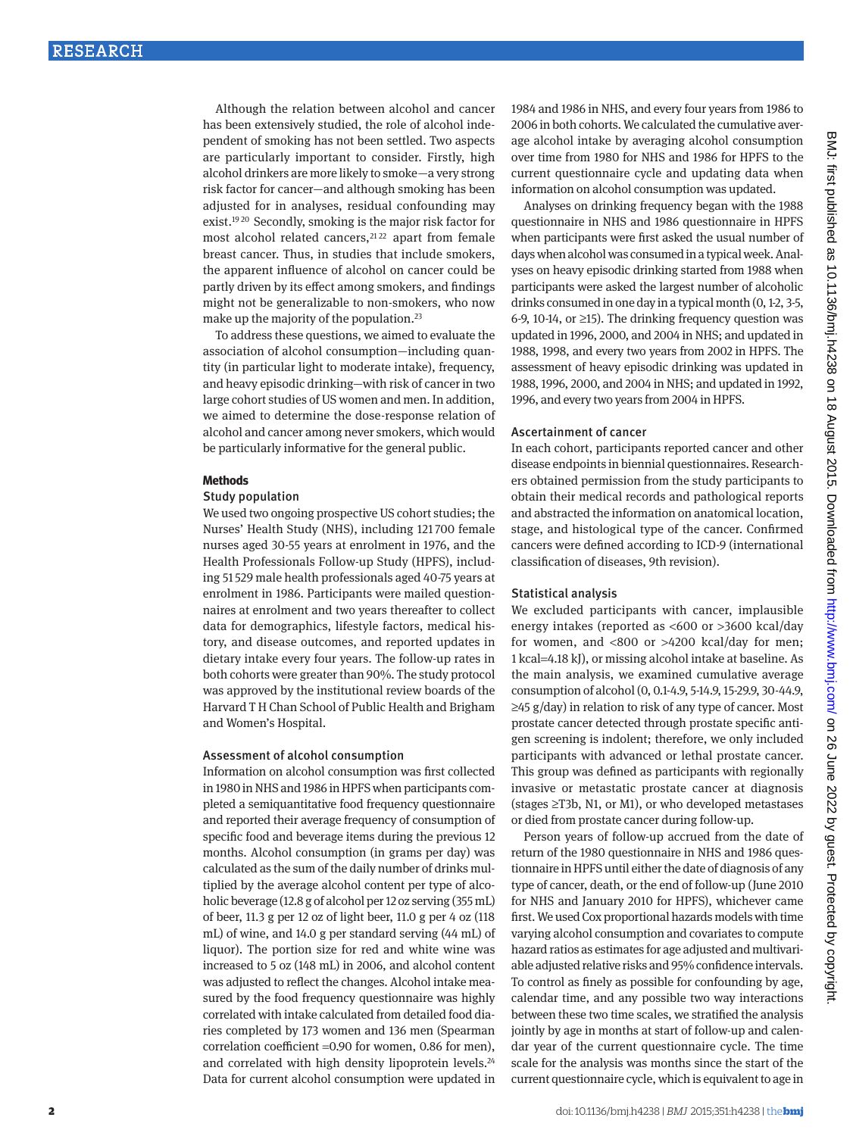Although the relation between alcohol and cancer has been extensively studied, the role of alcohol independent of smoking has not been settled. Two aspects are particularly important to consider. Firstly, high alcohol drinkers are more likely to smoke—a very strong risk factor for cancer—and although smoking has been adjusted for in analyses, residual confounding may exist.[19](#page-7-17) [20](#page-7-18) Secondly, smoking is the major risk factor for most alcohol related cancers,<sup>21,[22](#page-7-20)</sup> apart from female breast cancer. Thus, in studies that include smokers, the apparent influence of alcohol on cancer could be partly driven by its effect among smokers, and findings might not be generalizable to non-smokers, who now make up the majority of the population.<sup>23</sup>

To address these questions, we aimed to evaluate the association of alcohol consumption—including quantity (in particular light to moderate intake), frequency, and heavy episodic drinking—with risk of cancer in two large cohort studies of US women and men. In addition, we aimed to determine the dose-response relation of alcohol and cancer among never smokers, which would be particularly informative for the general public.

#### **Methods**

#### Study population

We used two ongoing prospective US cohort studies; the Nurses' Health Study (NHS), including 121 700 female nurses aged 30-55 years at enrolment in 1976, and the Health Professionals Follow-up Study (HPFS), including 51 529 male health professionals aged 40-75 years at enrolment in 1986. Participants were mailed questionnaires at enrolment and two years thereafter to collect data for demographics, lifestyle factors, medical history, and disease outcomes, and reported updates in dietary intake every four years. The follow-up rates in both cohorts were greater than 90%. The study protocol was approved by the institutional review boards of the Harvard T H Chan School of Public Health and Brigham and Women's Hospital.

#### Assessment of alcohol consumption

Information on alcohol consumption was first collected in 1980 in NHS and 1986 in HPFS when participants completed a semiquantitative food frequency questionnaire and reported their average frequency of consumption of specific food and beverage items during the previous 12 months. Alcohol consumption (in grams per day) was calculated as the sum of the daily number of drinks multiplied by the average alcohol content per type of alcoholic beverage (12.8 g of alcohol per 12 oz serving (355 mL) of beer, 11.3 g per 12 oz of light beer, 11.0 g per 4 oz (118 mL) of wine, and 14.0 g per standard serving (44 mL) of liquor). The portion size for red and white wine was increased to 5 oz (148 mL) in 2006, and alcohol content was adjusted to reflect the changes. Alcohol intake measured by the food frequency questionnaire was highly correlated with intake calculated from detailed food diaries completed by 173 women and 136 men (Spearman correlation coefficient =0.90 for women, 0.86 for men), and correlated with high density lipoprotein levels.<sup>24</sup> Data for current alcohol consumption were updated in

1984 and 1986 in NHS, and every four years from 1986 to 2006 in both cohorts. We calculated the cumulative average alcohol intake by averaging alcohol consumption over time from 1980 for NHS and 1986 for HPFS to the current questionnaire cycle and updating data when information on alcohol consumption was updated.

Analyses on drinking frequency began with the 1988 questionnaire in NHS and 1986 questionnaire in HPFS when participants were first asked the usual number of days when alcohol was consumed in a typical week. Analyses on heavy episodic drinking started from 1988 when participants were asked the largest number of alcoholic drinks consumed in one day in a typical month (0, 1-2, 3-5, 6-9, 10-14, or ≥15). The drinking frequency question was updated in 1996, 2000, and 2004 in NHS; and updated in 1988, 1998, and every two years from 2002 in HPFS. The assessment of heavy episodic drinking was updated in 1988, 1996, 2000, and 2004 in NHS; and updated in 1992, 1996, and every two years from 2004 in HPFS.

#### Ascertainment of cancer

In each cohort, participants reported cancer and other disease endpoints in biennial questionnaires. Researchers obtained permission from the study participants to obtain their medical records and pathological reports and abstracted the information on anatomical location, stage, and histological type of the cancer. Confirmed cancers were defined according to ICD-9 (international classification of diseases, 9th revision).

## Statistical analysis

We excluded participants with cancer, implausible energy intakes (reported as <600 or >3600 kcal/day for women, and <800 or >4200 kcal/day for men; 1 kcal=4.18 kJ), or missing alcohol intake at baseline. As the main analysis, we examined cumulative average consumption of alcohol (0, 0.1-4.9, 5-14.9, 15-29.9, 30-44.9, ≥45 g/day) in relation to risk of any type of cancer. Most prostate cancer detected through prostate specific antigen screening is indolent; therefore, we only included participants with advanced or lethal prostate cancer. This group was defined as participants with regionally invasive or metastatic prostate cancer at diagnosis (stages ≥T3b, N1, or M1), or who developed metastases or died from prostate cancer during follow-up.

Person years of follow-up accrued from the date of return of the 1980 questionnaire in NHS and 1986 questionnaire in HPFS until either the date of diagnosis of any type of cancer, death, or the end of follow-up (June 2010 for NHS and January 2010 for HPFS), whichever came first. We used Cox proportional hazards models with time varying alcohol consumption and covariates to compute hazard ratios as estimates for age adjusted and multivariable adjusted relative risks and 95% confidence intervals. To control as finely as possible for confounding by age, calendar time, and any possible two way interactions between these two time scales, we stratified the analysis jointly by age in months at start of follow-up and calendar year of the current questionnaire cycle. The time scale for the analysis was months since the start of the current questionnaire cycle, which is equivalent to age in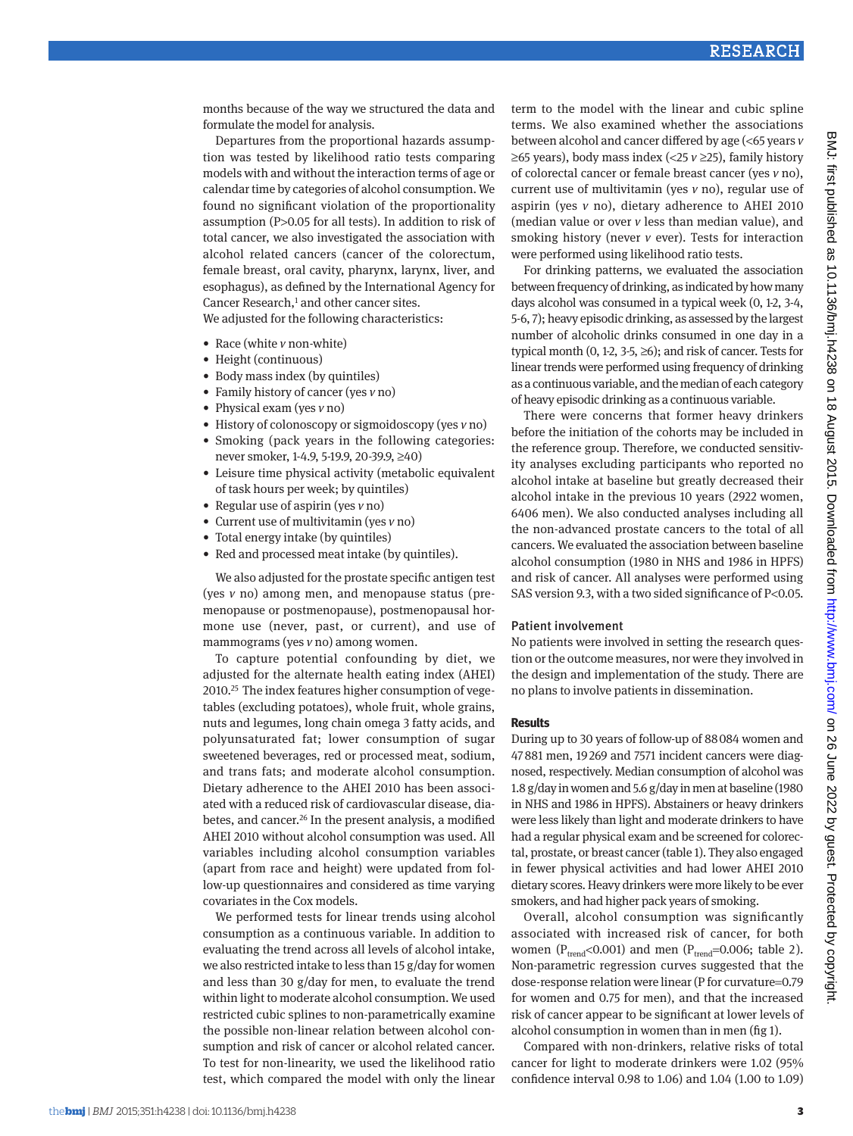months because of the way we structured the data and formulate the model for analysis.

Departures from the proportional hazards assumption was tested by likelihood ratio tests comparing models with and without the interaction terms of age or calendar time by categories of alcohol consumption. We found no significant violation of the proportionality assumption (P>0.05 for all tests). In addition to risk of total cancer, we also investigated the association with alcohol related cancers (cancer of the colorectum, female breast, oral cavity, pharynx, larynx, liver, and esophagus), as defined by the International Agency for Cancer Research,<sup>[1](#page-7-0)</sup> and other cancer sites. We adjusted for the following characteristics:

- Race (white *v* non-white)
- Height (continuous)
- • Body mass index (by quintiles)
- • Family history of cancer (yes *v* no)
- • Physical exam (yes *v* no)
- History of colonoscopy or sigmoidoscopy (yes *v* no)
- • Smoking (pack years in the following categories: never smoker, 1-4.9, 5-19.9, 20-39.9, ≥40)
- Leisure time physical activity (metabolic equivalent of task hours per week; by quintiles)
- • Regular use of aspirin (yes *v* no)
- • Current use of multivitamin (yes *v* no)
- Total energy intake (by quintiles)
- Red and processed meat intake (by quintiles).

We also adjusted for the prostate specific antigen test (yes *v* no) among men, and menopause status (premenopause or postmenopause), postmenopausal hormone use (never, past, or current), and use of mammograms (yes *v* no) among women.

To capture potential confounding by diet, we adjusted for the alternate health eating index (AHEI) 2010[.25](#page-7-23) The index features higher consumption of vegetables (excluding potatoes), whole fruit, whole grains, nuts and legumes, long chain omega 3 fatty acids, and polyunsaturated fat; lower consumption of sugar sweetened beverages, red or processed meat, sodium, and trans fats; and moderate alcohol consumption. Dietary adherence to the AHEI 2010 has been associated with a reduced risk of cardiovascular disease, diabetes, and cancer[.26](#page-7-24) In the present analysis, a modified AHEI 2010 without alcohol consumption was used. All variables including alcohol consumption variables (apart from race and height) were updated from follow-up questionnaires and considered as time varying covariates in the Cox models.

We performed tests for linear trends using alcohol consumption as a continuous variable. In addition to evaluating the trend across all levels of alcohol intake, we also restricted intake to less than 15 g/day for women and less than 30 g/day for men, to evaluate the trend within light to moderate alcohol consumption. We used restricted cubic splines to non-parametrically examine the possible non-linear relation between alcohol consumption and risk of cancer or alcohol related cancer. To test for non-linearity, we used the likelihood ratio test, which compared the model with only the linear term to the model with the linear and cubic spline terms. We also examined whether the associations between alcohol and cancer differed by age (<65 years *v* ≥65 years), body mass index (<25 *v* ≥25), family history of colorectal cancer or female breast cancer (yes *v* no), current use of multivitamin (yes *v* no), regular use of aspirin (yes *v* no), dietary adherence to AHEI 2010 (median value or over *v* less than median value), and smoking history (never *v* ever). Tests for interaction were performed using likelihood ratio tests.

For drinking patterns, we evaluated the association between frequency of drinking, as indicated by how many days alcohol was consumed in a typical week (0, 1-2, 3-4, 5-6, 7); heavy episodic drinking, as assessed by the largest number of alcoholic drinks consumed in one day in a typical month  $(0, 1-2, 3-5, \geq 6)$ ; and risk of cancer. Tests for linear trends were performed using frequency of drinking as a continuous variable, and the median of each category of heavy episodic drinking as a continuous variable.

There were concerns that former heavy drinkers before the initiation of the cohorts may be included in the reference group. Therefore, we conducted sensitivity analyses excluding participants who reported no alcohol intake at baseline but greatly decreased their alcohol intake in the previous 10 years (2922 women, 6406 men). We also conducted analyses including all the non-advanced prostate cancers to the total of all cancers. We evaluated the association between baseline alcohol consumption (1980 in NHS and 1986 in HPFS) and risk of cancer. All analyses were performed using SAS version 9.3, with a two sided significance of P<0.05.

#### Patient involvement

No patients were involved in setting the research question or the outcome measures, nor were they involved in the design and implementation of the study. There are no plans to involve patients in dissemination.

#### **Results**

During up to 30 years of follow-up of 88084 women and 47881 men, 19269 and 7571 incident cancers were diagnosed, respectively. Median consumption of alcohol was 1.8 g/day in women and 5.6 g/day in men at baseline (1980 in NHS and 1986 in HPFS). Abstainers or heavy drinkers were less likely than light and moderate drinkers to have had a regular physical exam and be screened for colorectal, prostate, or breast cancer (table 1). They also engaged in fewer physical activities and had lower AHEI 2010 dietary scores. Heavy drinkers were more likely to be ever smokers, and had higher pack years of smoking.

Overall, alcohol consumption was significantly associated with increased risk of cancer, for both women ( $P_{trend}$ <0.001) and men ( $P_{trend}$ =0.006; table 2). Non-parametric regression curves suggested that the dose-response relation were linear (P for curvature=0.79 for women and 0.75 for men), and that the increased risk of cancer appear to be significant at lower levels of alcohol consumption in women than in men (fig 1).

Compared with non-drinkers, relative risks of total cancer for light to moderate drinkers were 1.02 (95% confidence interval 0.98 to 1.06) and 1.04 (1.00 to 1.09)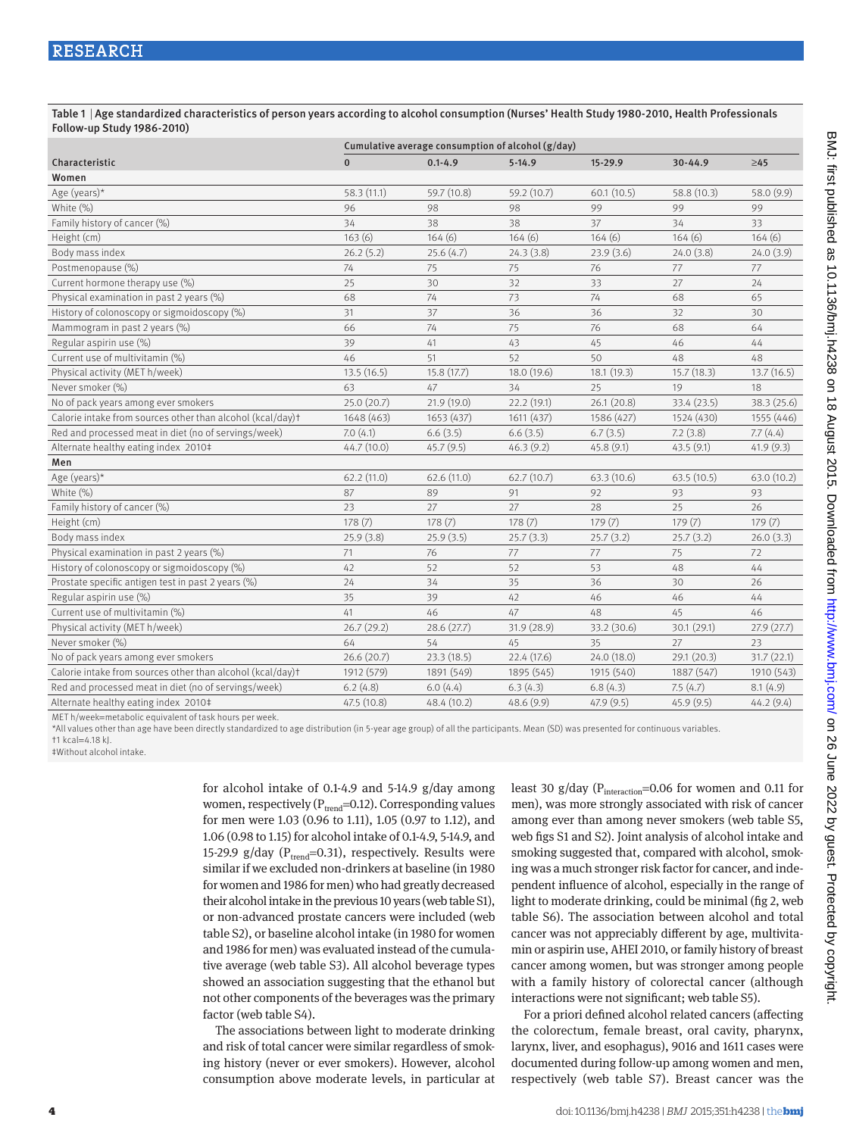#### Table 1 | Age standardized characteristics of person years according to alcohol consumption (Nurses' Health Study 1980-2010, Health Professionals Follow-up Study 1986-2010)

|                                                            | Cumulative average consumption of alcohol (g/day) |             |             |             |             |             |  |  |
|------------------------------------------------------------|---------------------------------------------------|-------------|-------------|-------------|-------------|-------------|--|--|
| Characteristic                                             | $\mathbf{0}$                                      | $0.1 - 4.9$ | $5-14.9$    | $15 - 29.9$ | $30 - 44.9$ | $\geq 45$   |  |  |
| Women                                                      |                                                   |             |             |             |             |             |  |  |
| Age (years)*                                               | 58.3 (11.1)                                       | 59.7 (10.8) | 59.2 (10.7) | 60.1(10.5)  | 58.8 (10.3) | 58.0 (9.9)  |  |  |
| White (%)                                                  | 96                                                | 98          | 98          | 99          | 99          | 99          |  |  |
| Family history of cancer (%)                               | 34                                                | 38          | 38          | 37          | 34          | 33          |  |  |
| Height (cm)                                                | 163(6)                                            | 164(6)      | 164(6)      | 164(6)      | 164(6)      | 164(6)      |  |  |
| Body mass index                                            | 26.2(5.2)                                         | 25.6(4.7)   | 24.3(3.8)   | 23.9(3.6)   | 24.0(3.8)   | 24.0(3.9)   |  |  |
| Postmenopause (%)                                          | 74                                                | 75          | 75          | 76          | 77          | 77          |  |  |
| Current hormone therapy use (%)                            | 25                                                | 30          | 32          | 33          | 27          | 24          |  |  |
| Physical examination in past 2 years (%)                   | 68                                                | 74          | 73          | 74          | 68          | 65          |  |  |
| History of colonoscopy or sigmoidoscopy (%)                | 31                                                | 37          | 36          | 36          | 32          | 30          |  |  |
| Mammogram in past 2 years (%)                              | 66                                                | 74          | 75          | 76          | 68          | 64          |  |  |
| Regular aspirin use (%)                                    | 39                                                | 41          | 43          | 45          | 46          | 44          |  |  |
| Current use of multivitamin (%)                            | 46                                                | 51          | 52          | 50          | 48          | 48          |  |  |
| Physical activity (MET h/week)                             | 13.5(16.5)                                        | 15.8 (17.7) | 18.0 (19.6) | 18.1(19.3)  | 15.7(18.3)  | 13.7(16.5)  |  |  |
| Never smoker (%)                                           | 63                                                | 47          | 34          | 25          | 19          | 18          |  |  |
| No of pack years among ever smokers                        | 25.0 (20.7)                                       | 21.9 (19.0) | 22.2 (19.1) | 26.1(20.8)  | 33.4 (23.5) | 38.3 (25.6) |  |  |
| Calorie intake from sources other than alcohol (kcal/day)t | 1648 (463)                                        | 1653 (437)  | 1611 (437)  | 1586 (427)  | 1524 (430)  | 1555 (446)  |  |  |
| Red and processed meat in diet (no of servings/week)       | 7.0(4.1)                                          | 6.6(3.5)    | 6.6(3.5)    | 6.7(3.5)    | 7.2(3.8)    | 7.7(4.4)    |  |  |
| Alternate healthy eating index 2010#                       | 44.7 (10.0)                                       | 45.7(9.5)   | 46.3(9.2)   | 45.8(9.1)   | 43.5(9.1)   | 41.9(9.3)   |  |  |
| Men                                                        |                                                   |             |             |             |             |             |  |  |
| Age (years)*                                               | 62.2(11.0)                                        | 62.6(11.0)  | 62.7(10.7)  | 63.3(10.6)  | 63.5(10.5)  | 63.0(10.2)  |  |  |
| White (%)                                                  | 87                                                | 89          | 91          | 92          | 93          | 93          |  |  |
| Family history of cancer (%)                               | 23                                                | 27          | 27          | 28          | 25          | 26          |  |  |
| Height (cm)                                                | 178(7)                                            | 178(7)      | 178(7)      | 179(7)      | 179(7)      | 179(7)      |  |  |
| Body mass index                                            | 25.9(3.8)                                         | 25.9(3.5)   | 25.7(3.3)   | 25.7(3.2)   | 25.7(3.2)   | 26.0(3.3)   |  |  |
| Physical examination in past 2 years (%)                   | 71                                                | 76          | 77          | 77          | 75          | 72          |  |  |
| History of colonoscopy or sigmoidoscopy (%)                | 42                                                | 52          | 52          | 53          | 48          | 44          |  |  |
| Prostate specific antigen test in past 2 years (%)         | 24                                                | 34          | 35          | 36          | 30          | 26          |  |  |
| Regular aspirin use (%)                                    | 35                                                | 39          | 42          | 46          | 46          | 44          |  |  |
| Current use of multivitamin (%)                            | 41                                                | 46          | 47          | 48          | 45          | 46          |  |  |
| Physical activity (MET h/week)                             | 26.7(29.2)                                        | 28.6 (27.7) | 31.9(28.9)  | 33.2 (30.6) | 30.1(29.1)  | 27.9(27.7)  |  |  |
| Never smoker (%)                                           | 64                                                | 54          | 45          | 35          | 27          | 23          |  |  |
| No of pack years among ever smokers                        | 26.6(20.7)                                        | 23.3(18.5)  | 22.4 (17.6) | 24.0 (18.0) | 29.1 (20.3) | 31.7(22.1)  |  |  |
| Calorie intake from sources other than alcohol (kcal/day)t | 1912 (579)                                        | 1891 (549)  | 1895 (545)  | 1915 (540)  | 1887 (547)  | 1910 (543)  |  |  |
| Red and processed meat in diet (no of servings/week)       | 6.2(4.8)                                          | 6.0(4.4)    | 6.3(4.3)    | 6.8(4.3)    | 7.5(4.7)    | 8.1(4.9)    |  |  |
| Alternate healthy eating index 2010#                       | 47.5 (10.8)                                       | 48.4 (10.2) | 48.6 (9.9)  | 47.9(9.5)   | 45.9 (9.5)  | 44.2(9.4)   |  |  |

MET h/week=metabolic equivalent of task hours per week.

\*All values other than age have been directly standardized to age distribution (in 5-year age group) of all the participants. Mean (SD) was presented for continuous variables. †1 kcal=4.18 kJ.

‡Without alcohol intake.

for alcohol intake of 0.1-4.9 and 5-14.9 g/day among women, respectively ( $P_{trend}$ =0.12). Corresponding values for men were 1.03 (0.96 to 1.11), 1.05 (0.97 to 1.12), and 1.06 (0.98 to 1.15) for alcohol intake of 0.1-4.9, 5-14.9, and 15-29.9 g/day ( $P_{trend}$ =0.31), respectively. Results were similar if we excluded non-drinkers at baseline (in 1980 for women and 1986 for men) who had greatly decreased their alcohol intake in the previous 10 years (web table S1), or non-advanced prostate cancers were included (web table S2), or baseline alcohol intake (in 1980 for women and 1986 for men) was evaluated instead of the cumulative average (web table S3). All alcohol beverage types showed an association suggesting that the ethanol but not other components of the beverages was the primary factor (web table S4).

The associations between light to moderate drinking and risk of total cancer were similar regardless of smoking history (never or ever smokers). However, alcohol consumption above moderate levels, in particular at

least 30 g/day ( $P_{interaction}$ =0.06 for women and 0.11 for men), was more strongly associated with risk of cancer among ever than among never smokers (web table S5, web figs S1 and S2). Joint analysis of alcohol intake and smoking suggested that, compared with alcohol, smoking was a much stronger risk factor for cancer, and independent influence of alcohol, especially in the range of light to moderate drinking, could be minimal (fig 2, web table S6). The association between alcohol and total cancer was not appreciably different by age, multivitamin or aspirin use, AHEI 2010, or family history of breast cancer among women, but was stronger among people with a family history of colorectal cancer (although interactions were not significant; web table S5).

For a priori defined alcohol related cancers (affecting the colorectum, female breast, oral cavity, pharynx, larynx, liver, and esophagus), 9016 and 1611 cases were documented during follow-up among women and men, respectively (web table S7). Breast cancer was the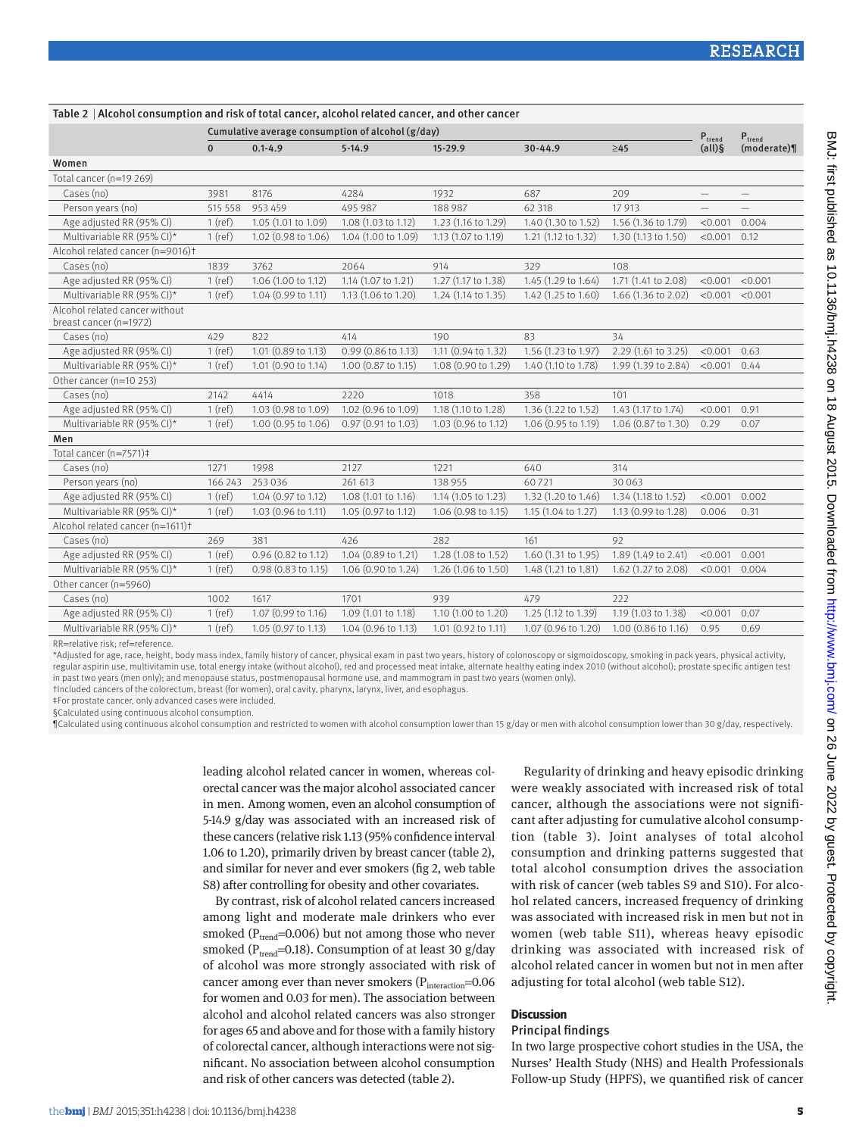|                                                          | Cumulative average consumption of alcohol (g/day) | $P_{trend}$         | $P_{trend}$           |                     |                     |                     |                          |             |
|----------------------------------------------------------|---------------------------------------------------|---------------------|-----------------------|---------------------|---------------------|---------------------|--------------------------|-------------|
|                                                          | $\bf{0}$                                          | $0.1 - 4.9$         | $5 - 14.9$            | $15 - 29.9$         | 30-44.9             | $\geq45$            | $(all)$ §                | (moderate)¶ |
| Women                                                    |                                                   |                     |                       |                     |                     |                     |                          |             |
| Total cancer (n=19 269)                                  |                                                   |                     |                       |                     |                     |                     |                          |             |
| Cases (no)                                               | 3981                                              | 8176                | 4284                  | 1932                | 687                 | 209                 |                          |             |
| Person years (no)                                        | 515 558                                           | 953 459             | 495 987               | 188 987             | 62 318              | 17913               | $\overline{\phantom{0}}$ |             |
| Age adjusted RR (95% CI)                                 | $1$ (ref)                                         | 1.05 (1.01 to 1.09) | 1.08 (1.03 to 1.12)   | 1.23 (1.16 to 1.29) | 1.40 (1.30 to 1.52) | 1.56 (1.36 to 1.79) | < 0.001                  | 0.004       |
| Multivariable RR (95% CI)*                               | $1$ (ref)                                         | 1.02 (0.98 to 1.06) | 1.04 (1.00 to 1.09)   | 1.13 (1.07 to 1.19) | 1.21 (1.12 to 1.32) | 1.30 (1.13 to 1.50) | < 0.001                  | 0.12        |
| Alcohol related cancer (n=9016)t                         |                                                   |                     |                       |                     |                     |                     |                          |             |
| Cases (no)                                               | 1839                                              | 3762                | 2064                  | 914                 | 329                 | 108                 |                          |             |
| Age adjusted RR (95% CI)                                 | $1$ (ref)                                         | 1.06 (1.00 to 1.12) | 1.14 (1.07 to 1.21)   | 1.27 (1.17 to 1.38) | 1.45 (1.29 to 1.64) | 1.71 (1.41 to 2.08) | < 0.001                  | < 0.001     |
| Multivariable RR (95% CI)*                               | $1$ (ref)                                         | 1.04 (0.99 to 1.11) | 1.13 (1.06 to 1.20)   | 1.24 (1.14 to 1.35) | 1.42 (1.25 to 1.60) | 1.66 (1.36 to 2.02) | < 0.001                  | < 0.001     |
| Alcohol related cancer without<br>breast cancer (n=1972) |                                                   |                     |                       |                     |                     |                     |                          |             |
| Cases (no)                                               | 429                                               | 822                 | 414                   | 190                 | 83                  | 34                  |                          |             |
| Age adjusted RR (95% CI)                                 | $1$ (ref)                                         | 1.01 (0.89 to 1.13) | 0.99 (0.86 to 1.13)   | 1.11 (0.94 to 1.32) | 1.56 (1.23 to 1.97) | 2.29 (1.61 to 3.25) | < 0.001                  | 0.63        |
| Multivariable RR (95% CI)*                               | $1$ (ref)                                         | 1.01 (0.90 to 1.14) | $1.00$ (0.87 to 1.15) | 1.08 (0.90 to 1.29) | 1.40 (1.10 to 1.78) | 1.99 (1.39 to 2.84) | $< 0.001$ 0.44           |             |
| Other cancer (n=10 253)                                  |                                                   |                     |                       |                     |                     |                     |                          |             |
| Cases (no)                                               | 2142                                              | 4414                | 2220                  | 1018                | 358                 | 101                 |                          |             |
| Age adjusted RR (95% CI)                                 | $1$ (ref)                                         | 1.03 (0.98 to 1.09) | 1.02 (0.96 to 1.09)   | 1.18 (1.10 to 1.28) | 1.36 (1.22 to 1.52) | 1.43 (1.17 to 1.74) | < 0.001                  | 0.91        |
| Multivariable RR (95% CI)*                               | $1$ (ref)                                         | 1.00 (0.95 to 1.06) | 0.97 (0.91 to 1.03)   | 1.03 (0.96 to 1.12) | 1.06 (0.95 to 1.19) | 1.06 (0.87 to 1.30) | 0.29                     | 0.07        |
| Men                                                      |                                                   |                     |                       |                     |                     |                     |                          |             |
| Total cancer (n=7571)‡                                   |                                                   |                     |                       |                     |                     |                     |                          |             |
| Cases (no)                                               | 1271                                              | 1998                | 2127                  | 1221                | 640                 | 314                 |                          |             |
| Person years (no)                                        | 166 243                                           | 253 036             | 261 613               | 138 955             | 60721               | 30 0 63             |                          |             |
| Age adjusted RR (95% CI)                                 | $1$ (ref)                                         | 1.04 (0.97 to 1.12) | 1.08 (1.01 to 1.16)   | 1.14 (1.05 to 1.23) | 1.32 (1.20 to 1.46) | 1.34 (1.18 to 1.52) | < 0.001                  | 0.002       |
| Multivariable RR (95% CI)*                               | $1$ (ref)                                         | 1.03 (0.96 to 1.11) | 1.05 (0.97 to 1.12)   | 1.06 (0.98 to 1.15) | 1.15 (1.04 to 1.27) | 1.13 (0.99 to 1.28) | 0.006                    | 0.31        |
| Alcohol related cancer (n=1611)+                         |                                                   |                     |                       |                     |                     |                     |                          |             |
| Cases (no)                                               | 269                                               | 381                 | 426                   | 282                 | 161                 | 92                  |                          |             |
| Age adjusted RR (95% CI)                                 | $1$ (ref)                                         | 0.96 (0.82 to 1.12) | 1.04 (0.89 to 1.21)   | 1.28 (1.08 to 1.52) | 1.60 (1.31 to 1.95) | 1.89 (1.49 to 2.41) | < 0.001                  | 0.001       |
| Multivariable RR (95% CI)*                               | $1$ (ref)                                         | 0.98 (0.83 to 1.15) | 1.06 (0.90 to 1.24)   | 1.26 (1.06 to 1.50) | 1.48 (1.21 to 1.81) | 1.62 (1.27 to 2.08) | $< 0.001$ 0.004          |             |
| Other cancer (n=5960)                                    |                                                   |                     |                       |                     |                     |                     |                          |             |
| Cases (no)                                               | 1002                                              | 1617                | 1701                  | 939                 | 479                 | 222                 |                          |             |
| Age adjusted RR (95% CI)                                 | $1$ (ref)                                         | 1.07 (0.99 to 1.16) | 1.09 (1.01 to 1.18)   | 1.10 (1.00 to 1.20) | 1.25 (1.12 to 1.39) | 1.19 (1.03 to 1.38) | < 0.001                  | 0.07        |
| Multivariable RR (95% CI)*                               | $1$ (ref)                                         | 1.05 (0.97 to 1.13) | 1.04 (0.96 to 1.13)   | 1.01 (0.92 to 1.11) | 1.07 (0.96 to 1.20) | 1.00 (0.86 to 1.16) | 0.95                     | 0.69        |

RR=relative risk; ref=reference.

\*Adjusted for age, race, height, body mass index, family history of cancer, physical exam in past two years, history of colonoscopy or sigmoidoscopy, smoking in pack years, physical activity, regular aspirin use, multivitamin use, total energy intake (without alcohol), red and processed meat intake, alternate healthy eating index 2010 (without alcohol); prostate specific antigen test in past two years (men only); and menopause status, postmenopausal hormone use, and mammogram in past two years (women only).

†Included cancers of the colorectum, breast (for women), oral cavity, pharynx, larynx, liver, and esophagus.

Table 2 | Alcohol consumption and risk of total cancer, alcohol related cancer, and other cancer

‡For prostate cancer, only advanced cases were included.

§Calculated using continuous alcohol consumption.

¶Calculated using continuous alcohol consumption and restricted to women with alcohol consumption lower than 15 g/day or men with alcohol consumption lower than 30 g/day, respectively.

leading alcohol related cancer in women, whereas colorectal cancer was the major alcohol associated cancer in men. Among women, even an alcohol consumption of 5-14.9 g/day was associated with an increased risk of these cancers (relative risk 1.13 (95% confidence interval 1.06 to 1.20), primarily driven by breast cancer (table 2), and similar for never and ever smokers (fig 2, web table S8) after controlling for obesity and other covariates.

By contrast, risk of alcohol related cancers increased among light and moderate male drinkers who ever smoked ( $P_{trend}$ =0.006) but not among those who never smoked ( $P_{trend}$ =0.18). Consumption of at least 30 g/day of alcohol was more strongly associated with risk of cancer among ever than never smokers ( $P_{interaction} = 0.06$ for women and 0.03 for men). The association between alcohol and alcohol related cancers was also stronger for ages 65 and above and for those with a family history of colorectal cancer, although interactions were not significant. No association between alcohol consumption and risk of other cancers was detected (table 2).

Regularity of drinking and heavy episodic drinking were weakly associated with increased risk of total cancer, although the associations were not significant after adjusting for cumulative alcohol consumption (table 3). Joint analyses of total alcohol consumption and drinking patterns suggested that total alcohol consumption drives the association with risk of cancer (web tables S9 and S10). For alcohol related cancers, increased frequency of drinking was associated with increased risk in men but not in women (web table S11), whereas heavy episodic drinking was associated with increased risk of alcohol related cancer in women but not in men after adjusting for total alcohol (web table S12).

#### **Discussion**

### Principal findings

In two large prospective cohort studies in the USA, the Nurses' Health Study (NHS) and Health Professionals Follow-up Study (HPFS), we quantified risk of cancer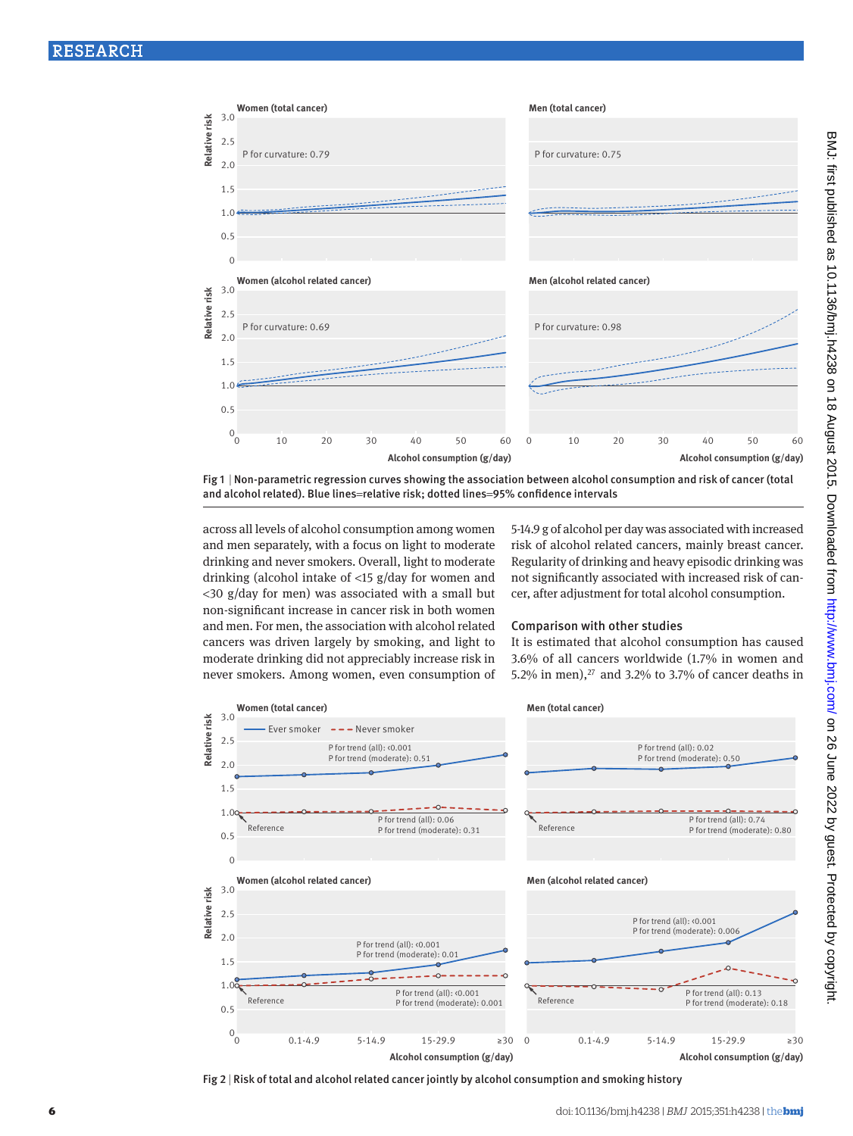

Fig 1 | Non-parametric regression curves showing the association between alcohol consumption and risk of cancer (total and alcohol related). Blue lines=relative risk; dotted lines=95% confidence intervals

across all levels of alcohol consumption among women and men separately, with a focus on light to moderate drinking and never smokers. Overall, light to moderate drinking (alcohol intake of <15 g/day for women and <30 g/day for men) was associated with a small but non-significant increase in cancer risk in both women and men. For men, the association with alcohol related cancers was driven largely by smoking, and light to moderate drinking did not appreciably increase risk in never smokers. Among women, even consumption of 5-14.9 g of alcohol per day was associated with increased risk of alcohol related cancers, mainly breast cancer. Regularity of drinking and heavy episodic drinking was not significantly associated with increased risk of cancer, after adjustment for total alcohol consumption.

### Comparison with other studies

It is estimated that alcohol consumption has caused 3.6% of all cancers worldwide (1.7% in women and 5.2% in men), $27$  and 3.2% to 3.7% of cancer deaths in



Fig 2 | Risk of total and alcohol related cancer jointly by alcohol consumption and smoking history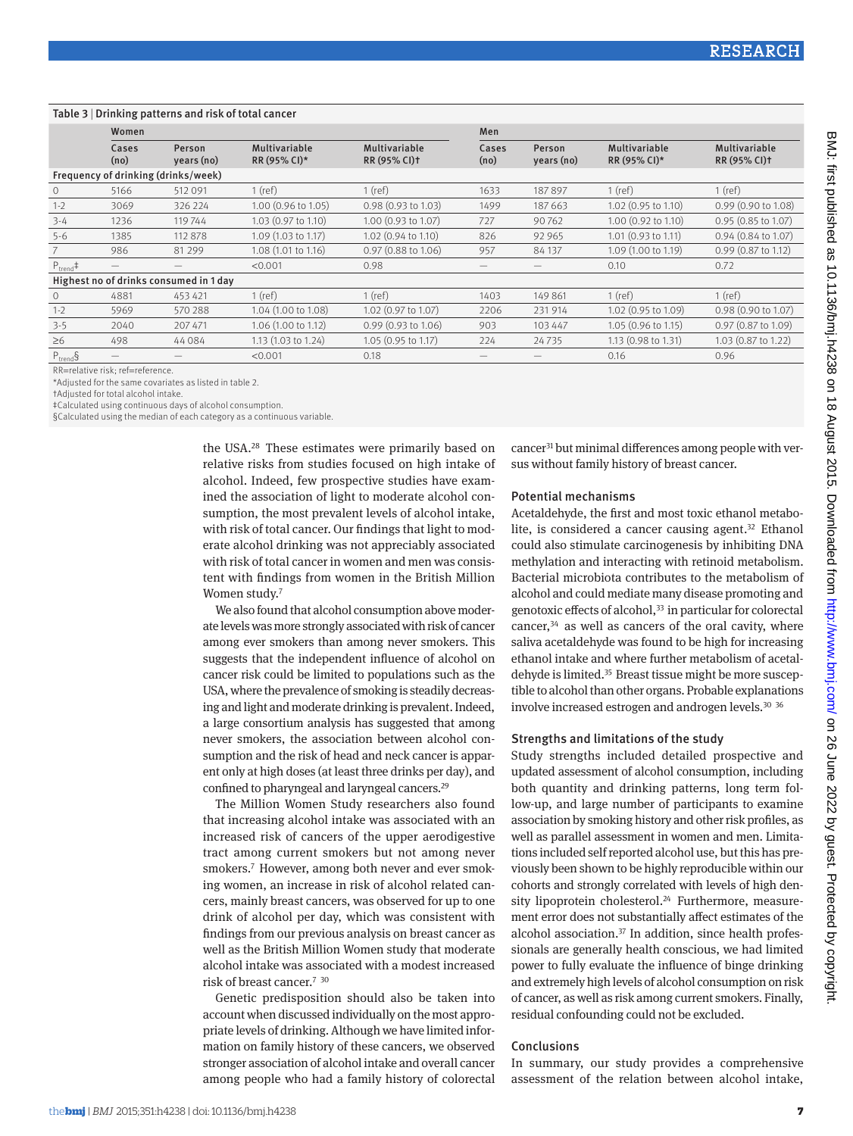#### Table 3 | Drinking patterns and risk of total cancer Women Men Cases (no) Person years (no) Multivariable RR (95% CI)\* Multivariable RR (95% CI)† Cases (no) Person years (no) Multivariable RR (95% CI)\* Multivariable RR (95% CI)† Frequency of drinking (drinks/week) 0 5166 512 091 1 (ref) 1 (ref) 1633 187 897 1 (ref) 1 (ref) 1-2 3069 326 224 1.00 (0.96 to 1.05) 0.98 (0.93 to 1.03) 1499 187 663 1.02 (0.95 to 1.10) 0.99 (0.90 to 1.08) 3-4 1236 119 744 1.03 (0.97 to 1.10) 1.00 (0.93 to 1.07) 727 90 762 1.00 (0.92 to 1.10) 0.95 (0.85 to 1.07) 5-6 1385 112 878 1.09 (1.03 to 1.17) 1.02 (0.94 to 1.10) 826 92 965 1.01 (0.93 to 1.11) 0.94 (0.84 to 1.07) 7 986 81 299 1.08 (1.01 to 1.16) 0.97 (0.88 to 1.06) 957 84 137 1.09 (1.00 to 1.19) 0.99 (0.87 to 1.12)  $P_{\text{trend}}$  =  $-$  <0.001 0.98  $-$  0.10 0.72 Highest no of drinks consumed in 1 day 0 4881 453 421 1 (ref) 1 (ref) 1403 149 861 1 (ref) 1 (ref) 1-2 5969 570 288 1.04 (1.00 to 1.08) 1.02 (0.97 to 1.07) 2206 231 914 1.02 (0.95 to 1.09) 0.98 (0.90 to 1.07) 3-5 2040 207 471 1.06 (1.00 to 1.12) 0.99 (0.93 to 1.06) 903 103 447 1.05 (0.96 to 1.15) 0.97 (0.87 to 1.09) ≥6 498 44 084 1.13 (1.03 to 1.24) 1.05 (0.95 to 1.17) 224 24 735 1.13 (0.98 to 1.31) 1.03 (0.87 to 1.22)  $P_{\text{trend}}$ § — — <0.001 0.18 — — 0.16 0.96

RR=relative risk; ref=reference.

\*Adjusted for the same covariates as listed in table 2.

†Adjusted for total alcohol intake.

‡Calculated using continuous days of alcohol consumption.

§Calculated using the median of each category as a continuous variable.

the USA.[28](#page-7-26) These estimates were primarily based on relative risks from studies focused on high intake of alcohol. Indeed, few prospective studies have examined the association of light to moderate alcohol consumption, the most prevalent levels of alcohol intake, with risk of total cancer. Our findings that light to moderate alcohol drinking was not appreciably associated with risk of total cancer in women and men was consistent with findings from women in the British Million Women study.<sup>[7](#page-7-6)</sup>

We also found that alcohol consumption above moderate levels was more strongly associated with risk of cancer among ever smokers than among never smokers. This suggests that the independent influence of alcohol on cancer risk could be limited to populations such as the USA, where the prevalence of smoking is steadily decreasing and light and moderate drinking is prevalent. Indeed, a large consortium analysis has suggested that among never smokers, the association between alcohol consumption and the risk of head and neck cancer is apparent only at high doses (at least three drinks per day), and confined to pharyngeal and laryngeal cancers[.29](#page-7-27)

The Million Women Study researchers also found that increasing alcohol intake was associated with an increased risk of cancers of the upper aerodigestive tract among current smokers but not among never smokers[.7](#page-7-6) However, among both never and ever smoking women, an increase in risk of alcohol related cancers, mainly breast cancers, was observed for up to one drink of alcohol per day, which was consistent with findings from our previous analysis on breast cancer as well as the British Million Women study that moderate alcohol intake was associated with a modest increased risk of breast cancer[.7](#page-7-6) [30](#page-7-28)

Genetic predisposition should also be taken into account when discussed individually on the most appropriate levels of drinking. Although we have limited information on family history of these cancers, we observed stronger association of alcohol intake and overall cancer among people who had a family history of colorectal

cancer[31](#page-7-29) but minimal differences among people with versus without family history of breast cancer.

#### Potential mechanisms

Acetaldehyde, the first and most toxic ethanol metabolite, is considered a cancer causing agent. $32$  Ethanol could also stimulate carcinogenesis by inhibiting DNA methylation and interacting with retinoid metabolism. Bacterial microbiota contributes to the metabolism of alcohol and could mediate many disease promoting and genotoxic effects of alcohol,<sup>33</sup> in particular for colorectal cancer[,34](#page-7-32) as well as cancers of the oral cavity, where saliva acetaldehyde was found to be high for increasing ethanol intake and where further metabolism of acetaldehyde is limited.<sup>35</sup> Breast tissue might be more susceptible to alcohol than other organs. Probable explanations involve increased estrogen and androgen levels.<sup>30</sup> <sup>[36](#page-7-34)</sup>

## Strengths and limitations of the study

Study strengths included detailed prospective and updated assessment of alcohol consumption, including both quantity and drinking patterns, long term follow-up, and large number of participants to examine association by smoking history and other risk profiles, as well as parallel assessment in women and men. Limitations included self reported alcohol use, but this has previously been shown to be highly reproducible within our cohorts and strongly correlated with levels of high density lipoprotein cholesterol.<sup>24</sup> Furthermore, measurement error does not substantially affect estimates of the alcohol association[.37](#page-7-35) In addition, since health professionals are generally health conscious, we had limited power to fully evaluate the influence of binge drinking and extremely high levels of alcohol consumption on risk of cancer, as well as risk among current smokers. Finally, residual confounding could not be excluded.

### Conclusions

In summary, our study provides a comprehensive assessment of the relation between alcohol intake,